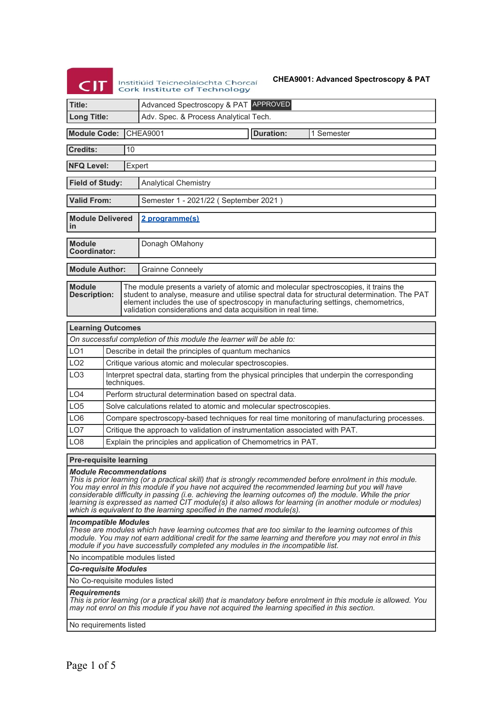# **CIT**

Institiúid Teicneolaíochta Chorcaí<br>Cork Institute of Technology

# **CHEA9001: Advanced Spectroscopy & PAT**

| Title:                                                      |             | Advanced Spectroscopy & PAT APPROVED                                                                                                                                                                                                                                                                                                                                                                                                                                                                            |  |  |  |
|-------------------------------------------------------------|-------------|-----------------------------------------------------------------------------------------------------------------------------------------------------------------------------------------------------------------------------------------------------------------------------------------------------------------------------------------------------------------------------------------------------------------------------------------------------------------------------------------------------------------|--|--|--|
| <b>Long Title:</b><br>Adv. Spec. & Process Analytical Tech. |             |                                                                                                                                                                                                                                                                                                                                                                                                                                                                                                                 |  |  |  |
| <b>Module Code:</b>                                         |             | <b>CHEA9001</b><br><b>Duration:</b><br>1 Semester                                                                                                                                                                                                                                                                                                                                                                                                                                                               |  |  |  |
|                                                             |             |                                                                                                                                                                                                                                                                                                                                                                                                                                                                                                                 |  |  |  |
| <b>Credits:</b>                                             | 10          |                                                                                                                                                                                                                                                                                                                                                                                                                                                                                                                 |  |  |  |
| <b>NFQ Level:</b>                                           |             | Expert                                                                                                                                                                                                                                                                                                                                                                                                                                                                                                          |  |  |  |
| <b>Field of Study:</b><br><b>Analytical Chemistry</b>       |             |                                                                                                                                                                                                                                                                                                                                                                                                                                                                                                                 |  |  |  |
| <b>Valid From:</b>                                          |             | Semester 1 - 2021/22 (September 2021)                                                                                                                                                                                                                                                                                                                                                                                                                                                                           |  |  |  |
| <b>Module Delivered</b><br>in                               |             | 2 programme(s)                                                                                                                                                                                                                                                                                                                                                                                                                                                                                                  |  |  |  |
| <b>Module</b><br><b>Coordinator:</b>                        |             | Donagh OMahony                                                                                                                                                                                                                                                                                                                                                                                                                                                                                                  |  |  |  |
| <b>Module Author:</b>                                       |             | <b>Grainne Conneely</b>                                                                                                                                                                                                                                                                                                                                                                                                                                                                                         |  |  |  |
| <b>Module</b><br><b>Description:</b>                        |             | The module presents a variety of atomic and molecular spectroscopies, it trains the<br>student to analyse, measure and utilise spectral data for structural determination. The PAT<br>element includes the use of spectroscopy in manufacturing settings, chemometrics,<br>validation considerations and data acquisition in real time.                                                                                                                                                                         |  |  |  |
| <b>Learning Outcomes</b>                                    |             |                                                                                                                                                                                                                                                                                                                                                                                                                                                                                                                 |  |  |  |
|                                                             |             | On successful completion of this module the learner will be able to:                                                                                                                                                                                                                                                                                                                                                                                                                                            |  |  |  |
| LO <sub>1</sub>                                             |             | Describe in detail the principles of quantum mechanics                                                                                                                                                                                                                                                                                                                                                                                                                                                          |  |  |  |
| LO <sub>2</sub>                                             |             | Critique various atomic and molecular spectroscopies.                                                                                                                                                                                                                                                                                                                                                                                                                                                           |  |  |  |
| LO <sub>3</sub>                                             | techniques. | Interpret spectral data, starting from the physical principles that underpin the corresponding                                                                                                                                                                                                                                                                                                                                                                                                                  |  |  |  |
| LO4                                                         |             | Perform structural determination based on spectral data.                                                                                                                                                                                                                                                                                                                                                                                                                                                        |  |  |  |
| LO <sub>5</sub>                                             |             | Solve calculations related to atomic and molecular spectroscopies.                                                                                                                                                                                                                                                                                                                                                                                                                                              |  |  |  |
| LO <sub>6</sub>                                             |             | Compare spectroscopy-based techniques for real time monitoring of manufacturing processes.                                                                                                                                                                                                                                                                                                                                                                                                                      |  |  |  |
| LO <sub>7</sub>                                             |             | Critique the approach to validation of instrumentation associated with PAT.                                                                                                                                                                                                                                                                                                                                                                                                                                     |  |  |  |
| LO <sub>8</sub>                                             |             | Explain the principles and application of Chemometrics in PAT.                                                                                                                                                                                                                                                                                                                                                                                                                                                  |  |  |  |
| <b>Pre-requisite learning</b>                               |             |                                                                                                                                                                                                                                                                                                                                                                                                                                                                                                                 |  |  |  |
| <b>Module Recommendations</b>                               |             | This is prior learning (or a practical skill) that is strongly recommended before enrolment in this module.<br>You may enrol in this module if you have not acquired the recommended learning but you will have<br>considerable difficulty in passing (i.e. achieving the learning outcomes of) the module. While the prior<br>learning is expressed as named CIT module(s) it also allows for learning (in another module or modules)<br>which is equivalent to the learning specified in the named module(s). |  |  |  |
| <b>Incompatible Modules</b>                                 |             | These are modules which have learning outcomes that are too similar to the learning outcomes of this<br>module. You may not earn additional credit for the same learning and therefore you may not enrol in this<br>module if you have successfully completed any modules in the incompatible list.                                                                                                                                                                                                             |  |  |  |
| No incompatible modules listed                              |             |                                                                                                                                                                                                                                                                                                                                                                                                                                                                                                                 |  |  |  |
| <b>Co-requisite Modules</b>                                 |             |                                                                                                                                                                                                                                                                                                                                                                                                                                                                                                                 |  |  |  |
|                                                             |             | No Co-requisite modules listed                                                                                                                                                                                                                                                                                                                                                                                                                                                                                  |  |  |  |
| <b>Requirements</b>                                         |             | This is prior learning (or a practical skill) that is mandatory before enrolment in this module is allowed. You                                                                                                                                                                                                                                                                                                                                                                                                 |  |  |  |

*may not enrol on this module if you have not acquired the learning specified in this section.*

No requirements listed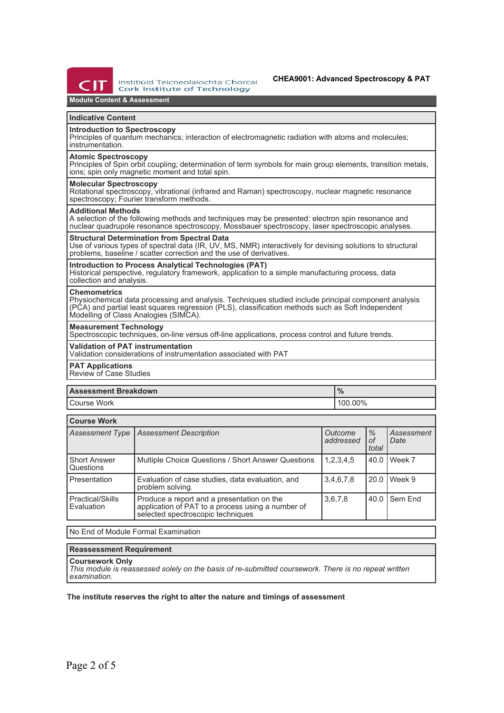

Institiúid Teicneolaíochta Chorcaí Cork Institute of Technology

# **Module Content & Assessment**

### **Indicative Content**

# **Introduction to Spectroscopy**

Principles of quantum mechanics; interaction of electromagnetic radiation with atoms and molecules; instrumentation.

#### **Atomic Spectroscopy**

Principles of Spin orbit coupling; determination of term symbols for main group elements, transition metals, ions; spin only magnetic moment and total spin.

# **Molecular Spectroscopy**

Rotational spectroscopy, vibrational (infrared and Raman) spectroscopy, nuclear magnetic resonance spectroscopy; Fourier transform methods.

#### **Additional Methods**

A selection of the following methods and techniques may be presented: electron spin resonance and nuclear quadrupole resonance spectroscopy, Mossbauer spectroscopy, laser spectroscopic analyses.

#### **Structural Determination from Spectral Data**

Use of various types of spectral data (IR, UV, MS, NMR) interactively for devising solutions to structural problems, baseline / scatter correction and the use of derivatives.

#### **Introduction to Process Analytical Technologies (PAT)**

Historical perspective, regulatory framework, application to a simple manufacturing process, data collection and analysis.

#### **Chemometrics**

Physiochemical data processing and analysis. Techniques studied include principal component analysis (PCA) and partial least squares regression (PLS), classification methods such as Soft Independent Modelling of Class Analogies (SIMCA).

#### **Measurement Technology**

Spectroscopic techniques, on-line versus off-line applications, process control and future trends.

#### **Validation of PAT instrumentation**

Validation considerations of instrumentation associated with PAT

**PAT Applications**

Review of Case Studies

| <b>Assessment Breakdown</b> | 70      |  |
|-----------------------------|---------|--|
| l Course Work               | 100.00% |  |

| <b>Course Work</b>                    |                                                                                                                                      |                      |                     |                    |  |
|---------------------------------------|--------------------------------------------------------------------------------------------------------------------------------------|----------------------|---------------------|--------------------|--|
| <b>Assessment Type</b>                | <b>Assessment Description</b>                                                                                                        | Outcome<br>addressed | $\%$<br>οf<br>total | Assessment<br>Date |  |
| <b>Short Answer</b><br>Questions      | Multiple Choice Questions / Short Answer Questions                                                                                   | 1,2,3,4,5            | 40.0                | Week 7             |  |
| Presentation                          | Evaluation of case studies, data evaluation, and<br>problem solving.                                                                 | 3,4,6,7,8            | 20.0                | Week 9             |  |
| <b>Practical/Skills</b><br>Evaluation | Produce a report and a presentation on the<br>application of PAT to a process using a number of<br>selected spectroscopic techniques | 3,6,7,8              | 40.0                | Sem End            |  |

No End of Module Formal Examination

## **Reassessment Requirement**

## **Coursework Only**

*This module is reassessed solely on the basis of re-submitted coursework. There is no repeat written examination.*

#### **The institute reserves the right to alter the nature and timings of assessment**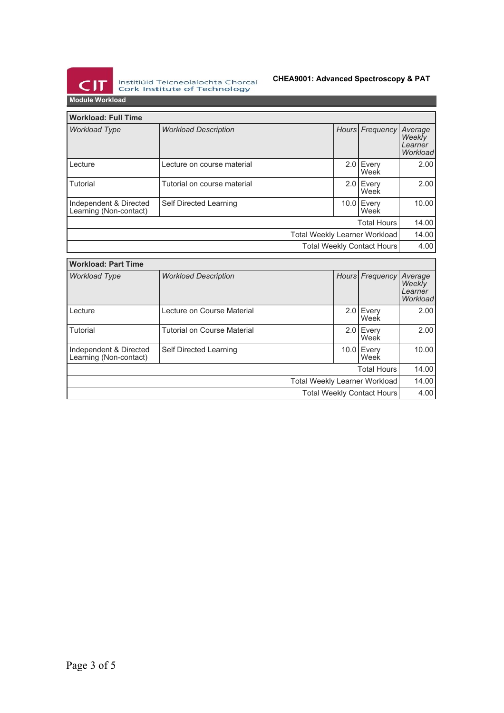

Institiúid Teicneolaíochta Chorcaí<br>Cork Institute of Technology

# **CHEA9001: Advanced Spectroscopy & PAT**

**Module Workload**

| <b>Workload: Full Time</b>                       |                             |  |                     |                                          |
|--------------------------------------------------|-----------------------------|--|---------------------|------------------------------------------|
| <b>Workload Type</b>                             | <b>Workload Description</b> |  | Hours Frequency     | Average<br>Weekly<br>Learner<br>Workload |
| Lecture                                          | Lecture on course material  |  | $2.0$ Every<br>Week | 2.00                                     |
| Tutorial                                         | Tutorial on course material |  | 2.0 Every<br>Week   | 2.00                                     |
| Independent & Directed<br>Learning (Non-contact) | Self Directed Learning      |  | 10.0 Every<br>Week  | 10.00                                    |
| <b>Total Hours</b>                               |                             |  |                     | 14.00                                    |
| Total Weekly Learner Workload                    |                             |  | 14.00               |                                          |
| Total Weekly Contact Hours                       |                             |  |                     | 4.00                                     |

| <b>Workload: Part Time</b>                       |                                    |  |                     |                                          |
|--------------------------------------------------|------------------------------------|--|---------------------|------------------------------------------|
| <b>Workload Type</b>                             | <b>Workload Description</b>        |  | Hours Frequency     | Average<br>Weekly<br>Learner<br>Workload |
| Lecture                                          | Lecture on Course Material         |  | $2.0$ Every<br>Week | 2.00                                     |
| Tutorial                                         | <b>Tutorial on Course Material</b> |  | 2.0 Every<br>Week   | 2.00                                     |
| Independent & Directed<br>Learning (Non-contact) | Self Directed Learning             |  | 10.0 Every<br>Week  | 10.00                                    |
| <b>Total Hours</b>                               |                                    |  |                     | 14.00                                    |
| Total Weekly Learner Workload                    |                                    |  | 14.00               |                                          |
| <b>Total Weekly Contact Hours</b>                |                                    |  |                     | 4.00                                     |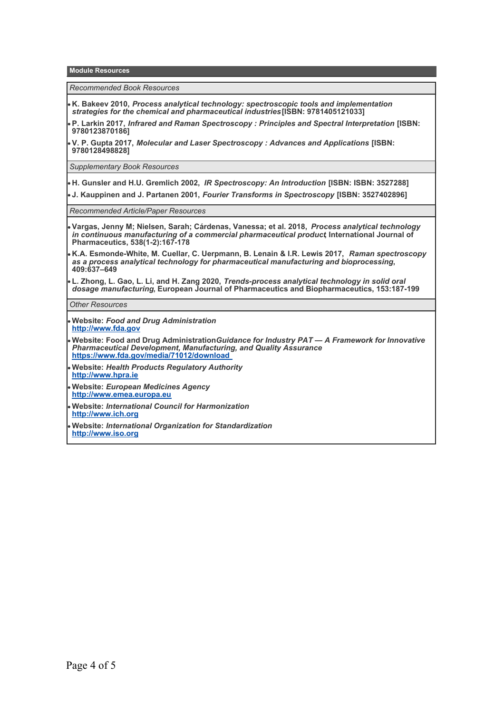**Module Resources**

*Recommended Book Resources*

**K. Bakeev 2010,** *Process analytical technology: spectroscopic tools and implementation strategies for the chemical and pharmaceutical industries* **[ISBN: 9781405121033]**

**P. Larkin 2017,** *Infrared and Raman Spectroscopy : Principles and Spectral Interpretation* **[ISBN: 9780123870186]**

**V. P. Gupta 2017,** *Molecular and Laser Spectroscopy : Advances and Applications* **[ISBN: 9780128498828]**

*Supplementary Book Resources*

**H. Gunsler and H.U. Gremlich 2002,** *IR Spectroscopy: An Introduction* **[ISBN: ISBN: 3527288]**

**J. Kauppinen and J. Partanen 2001,** *Fourier Transforms in Spectroscopy* **[ISBN: 3527402896]**

*Recommended Article/Paper Resources*

- **Vargas, Jenny M; Nielsen, Sarah; Cárdenas, Vanessa; et al. 2018,** *Process analytical technology in continuous manufacturing of a commercial pharmaceutical product***, International Journal of Pharmaceutics, 538(1-2):167-178**
- **K.A. Esmonde-White, M. Cuellar, C. Uerpmann, B. Lenain & I.R. Lewis 2017,** *Raman spectroscopy as a process analytical technology for pharmaceutical manufacturing and bioprocessing***, 409:637–649**
- **L. Zhong, L. Gao, L. Li, and H. Zang 2020,** *Trends-process analytical technology in solid oral dosage manufacturing***, European Journal of Pharmaceutics and Biopharmaceutics, 153:187-199**

*Other Resources*

- **Website:** *Food and Drug Administration* **<http://www.fda.gov>**
- **Website: Food and Drug Administration***Guidance for Industry PAT A Framework for Innovative Pharmaceutical Development, Manufacturing, and Quality Assurance*  **<https://www.fda.gov/media/71012/download>**
- **Website:** *Health Products Regulatory Authority* **<http://www.hpra.ie>**
- **Website:** *European Medicines Agency* **<http://www.emea.europa.eu>**
- **Website:** *International Council for Harmonization* **<http://www.ich.org>**
- **Website:** *International Organization for Standardization*  **<http://www.iso.org>**